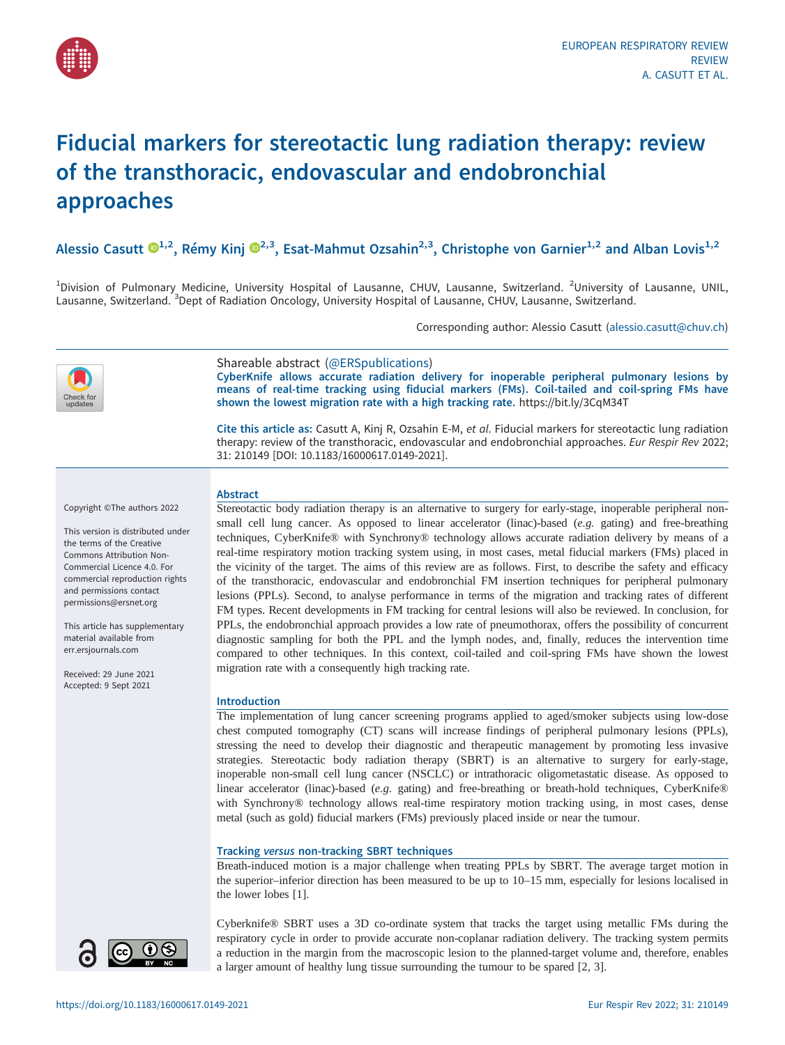

# Fiducial markers for stereotactic lung radiation therapy: review of the transthoracic, endovascular and endobronchial approaches

Alessio Casutt  $\mathbb{D}^{1,2}$  $\mathbb{D}^{1,2}$  $\mathbb{D}^{1,2}$  $\mathbb{D}^{1,2}$  $\mathbb{D}^{1,2}$ , Rémy Kinj  $\mathbb{D}^{2,3}$ , Esat-Mahmut Ozsahin<sup>2,3</sup>, Christophe von Garnier<sup>1,2</sup> and Alban Lovis<sup>1,2</sup>

<sup>1</sup>Division of Pulmonary Medicine, University Hospital of Lausanne, CHUV, Lausanne, Switzerland. <sup>2</sup>University of Lausanne, UNIL, Lausanne, Switzerland. <sup>3</sup>Dept of Radiation Oncology, University Hospital of Lausanne, CHUV, Lausanne, Switzerland.

Corresponding author: Alessio Casutt ([alessio.casutt@chuv.ch](mailto:alessio.casutt@chuv.ch))



## Shareable abstract (@ERSpublications)

CyberKnife allows accurate radiation delivery for inoperable peripheral pulmonary lesions by means of real-time tracking using fiducial markers (FMs). Coil-tailed and coil-spring FMs have shown the lowest migration rate with a high tracking rate. <https://bit.ly/3CqM34T>

Cite this article as: Casutt A, Kinj R, Ozsahin E-M, et al. Fiducial markers for stereotactic lung radiation therapy: review of the transthoracic, endovascular and endobronchial approaches. Eur Respir Rev 2022; 31: 210149 [\[DOI: 10.1183/16000617.0149-2021\].](https://doi.org/10.1183/16000617.0149-2021)

Copyright ©The authors 2022

This version is distributed under the terms of the Creative Commons Attribution Non-Commercial Licence 4.0. For commercial reproduction rights and permissions contact [permissions@ersnet.org](mailto:permissions@ersnet.org)

This article has supplementary material available from <err.ersjournals.com>

Received: 29 June 2021 Accepted: 9 Sept 2021

### Abstract

Stereotactic body radiation therapy is an alternative to surgery for early-stage, inoperable peripheral nonsmall cell lung cancer. As opposed to linear accelerator (linac)-based (e.g. gating) and free-breathing techniques, CyberKnife® with Synchrony® technology allows accurate radiation delivery by means of a real-time respiratory motion tracking system using, in most cases, metal fiducial markers (FMs) placed in the vicinity of the target. The aims of this review are as follows. First, to describe the safety and efficacy of the transthoracic, endovascular and endobronchial FM insertion techniques for peripheral pulmonary lesions (PPLs). Second, to analyse performance in terms of the migration and tracking rates of different FM types. Recent developments in FM tracking for central lesions will also be reviewed. In conclusion, for PPLs, the endobronchial approach provides a low rate of pneumothorax, offers the possibility of concurrent diagnostic sampling for both the PPL and the lymph nodes, and, finally, reduces the intervention time compared to other techniques. In this context, coil-tailed and coil-spring FMs have shown the lowest migration rate with a consequently high tracking rate.

#### Introduction

The implementation of lung cancer screening programs applied to aged/smoker subjects using low-dose chest computed tomography (CT) scans will increase findings of peripheral pulmonary lesions (PPLs), stressing the need to develop their diagnostic and therapeutic management by promoting less invasive strategies. Stereotactic body radiation therapy (SBRT) is an alternative to surgery for early-stage, inoperable non-small cell lung cancer (NSCLC) or intrathoracic oligometastatic disease. As opposed to linear accelerator (linac)-based (e.g. gating) and free-breathing or breath-hold techniques, CyberKnife® with Synchrony<sup>®</sup> technology allows real-time respiratory motion tracking using, in most cases, dense metal (such as gold) fiducial markers (FMs) previously placed inside or near the tumour.

#### Tracking versus non-tracking SBRT techniques

Breath-induced motion is a major challenge when treating PPLs by SBRT. The average target motion in the superior–inferior direction has been measured to be up to 10–15 mm, especially for lesions localised in the lower lobes [\[1\]](#page-5-0).

Cyberknife® SBRT uses a 3D co-ordinate system that tracks the target using metallic FMs during the respiratory cycle in order to provide accurate non-coplanar radiation delivery. The tracking system permits a reduction in the margin from the macroscopic lesion to the planned-target volume and, therefore, enables

a larger amount of healthy lung tissue surrounding the tumour to be spared [\[2, 3](#page-5-0)].

 $\odot$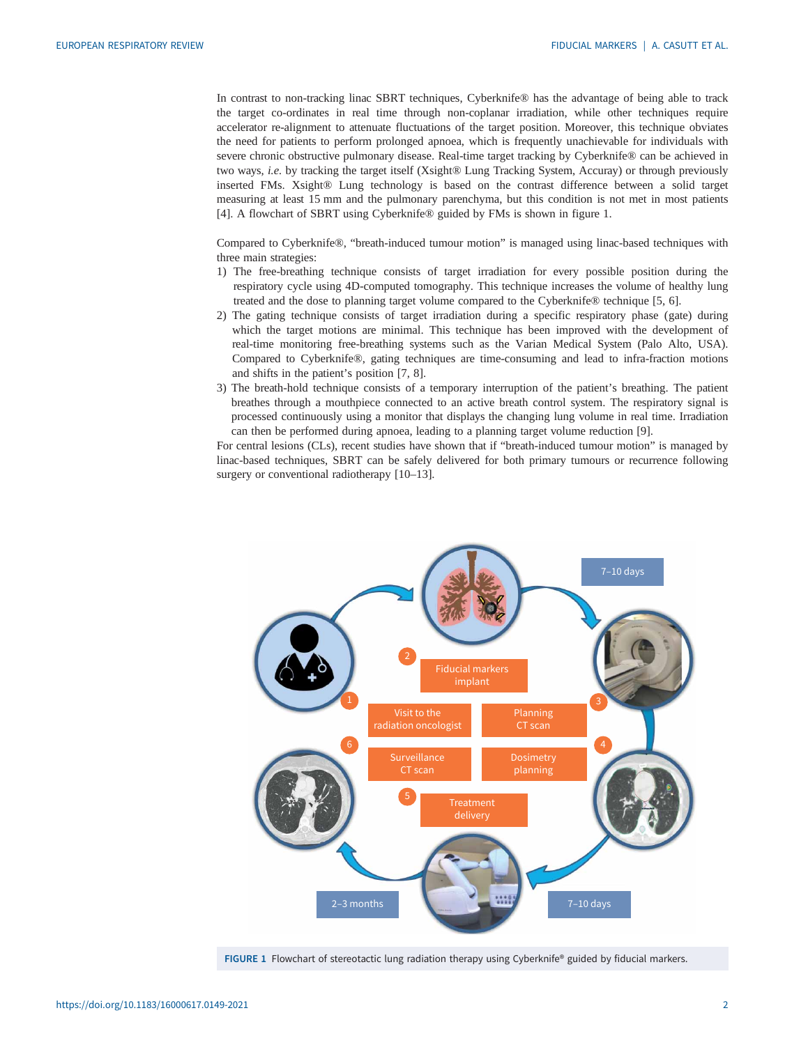In contrast to non-tracking linac SBRT techniques, Cyberknife® has the advantage of being able to track the target co-ordinates in real time through non-coplanar irradiation, while other techniques require accelerator re-alignment to attenuate fluctuations of the target position. Moreover, this technique obviates the need for patients to perform prolonged apnoea, which is frequently unachievable for individuals with severe chronic obstructive pulmonary disease. Real-time target tracking by Cyberknife® can be achieved in two ways, *i.e.* by tracking the target itself (Xsight® Lung Tracking System, Accuray) or through previously inserted FMs. Xsight® Lung technology is based on the contrast difference between a solid target measuring at least 15 mm and the pulmonary parenchyma, but this condition is not met in most patients [\[4\]](#page-5-0). A flowchart of SBRT using Cyberknife® guided by FMs is shown in figure 1.

Compared to Cyberknife®, "breath-induced tumour motion" is managed using linac-based techniques with three main strategies:

- 1) The free-breathing technique consists of target irradiation for every possible position during the respiratory cycle using 4D-computed tomography. This technique increases the volume of healthy lung treated and the dose to planning target volume compared to the Cyberknife® technique [\[5, 6](#page-5-0)].
- 2) The gating technique consists of target irradiation during a specific respiratory phase (gate) during which the target motions are minimal. This technique has been improved with the development of real-time monitoring free-breathing systems such as the Varian Medical System (Palo Alto, USA). Compared to Cyberknife®, gating techniques are time-consuming and lead to infra-fraction motions and shifts in the patient's position [\[7, 8](#page-5-0)].
- 3) The breath-hold technique consists of a temporary interruption of the patient's breathing. The patient breathes through a mouthpiece connected to an active breath control system. The respiratory signal is processed continuously using a monitor that displays the changing lung volume in real time. Irradiation can then be performed during apnoea, leading to a planning target volume reduction [\[9\]](#page-6-0).

For central lesions (CLs), recent studies have shown that if "breath-induced tumour motion" is managed by linac-based techniques, SBRT can be safely delivered for both primary tumours or recurrence following surgery or conventional radiotherapy [\[10](#page-6-0)–[13\]](#page-6-0).



FIGURE 1 Flowchart of stereotactic lung radiation therapy using Cyberknife® guided by fiducial markers.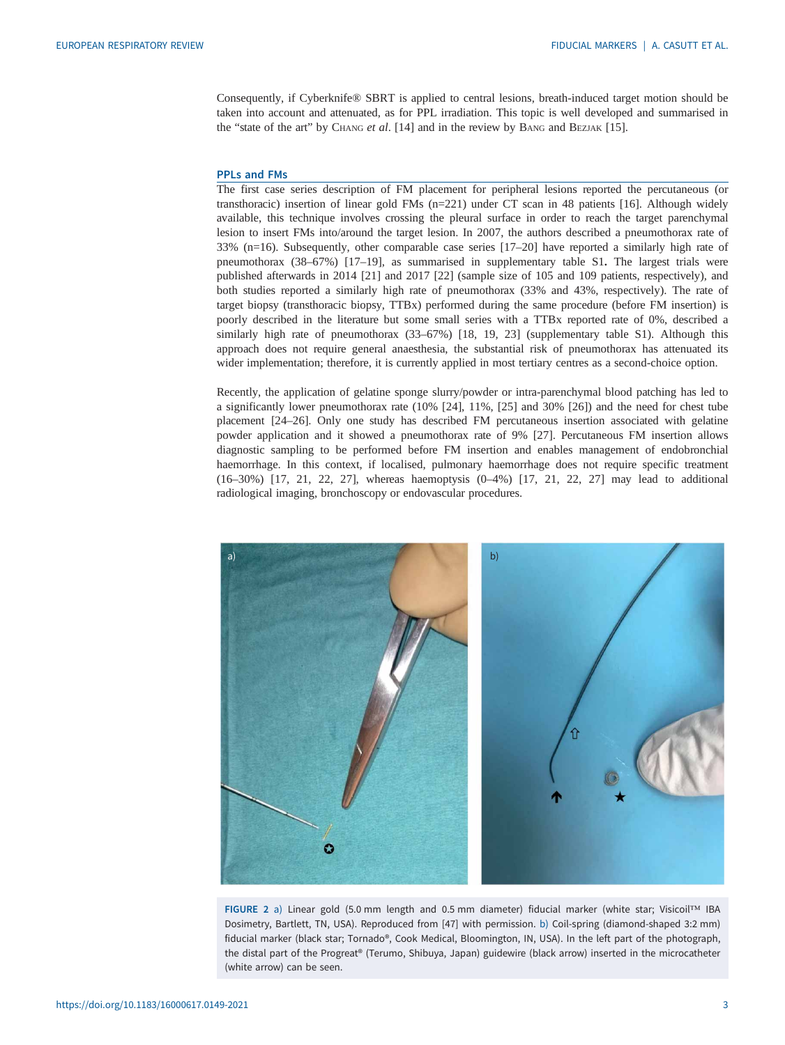<span id="page-2-0"></span>Consequently, if Cyberknife® SBRT is applied to central lesions, breath-induced target motion should be taken into account and attenuated, as for PPL irradiation. This topic is well developed and summarised in the "state of the art" by CHANG et al. [\[14](#page-6-0)] and in the review by BANG and BEZJAK [[15\]](#page-6-0).

#### PPLs and FMs

The first case series description of FM placement for peripheral lesions reported the percutaneous (or transthoracic) insertion of linear gold FMs (n=221) under CT scan in 48 patients [\[16](#page-6-0)]. Although widely available, this technique involves crossing the pleural surface in order to reach the target parenchymal lesion to insert FMs into/around the target lesion. In 2007, the authors described a pneumothorax rate of 33% (n=16). Subsequently, other comparable case series [[17](#page-6-0)–[20](#page-6-0)] have reported a similarly high rate of pneumothorax (38–67%) [[17](#page-6-0)–[19](#page-6-0)], as summarised in [supplementary table S1](http://err.ersjournals.com/lookup/doi/10.1183/16000617.0149-2021.figures-only#fig-data-supplementary-materials). The largest trials were published afterwards in 2014 [\[21](#page-6-0)] and 2017 [\[22](#page-6-0)] (sample size of 105 and 109 patients, respectively), and both studies reported a similarly high rate of pneumothorax (33% and 43%, respectively). The rate of target biopsy (transthoracic biopsy, TTBx) performed during the same procedure (before FM insertion) is poorly described in the literature but some small series with a TTBx reported rate of 0%, described a similarly high rate of pneumothorax (33–67%) [[18, 19, 23](#page-6-0)] ([supplementary table S1](http://err.ersjournals.com/lookup/doi/10.1183/16000617.0149-2021.figures-only#fig-data-supplementary-materials)). Although this approach does not require general anaesthesia, the substantial risk of pneumothorax has attenuated its wider implementation; therefore, it is currently applied in most tertiary centres as a second-choice option.

Recently, the application of gelatine sponge slurry/powder or intra-parenchymal blood patching has led to a significantly lower pneumothorax rate (10% [[24](#page-6-0)], 11%, [[25\]](#page-6-0) and 30% [\[26](#page-6-0)]) and the need for chest tube placement [[24](#page-6-0)–[26](#page-6-0)]. Only one study has described FM percutaneous insertion associated with gelatine powder application and it showed a pneumothorax rate of 9% [[27\]](#page-6-0). Percutaneous FM insertion allows diagnostic sampling to be performed before FM insertion and enables management of endobronchial haemorrhage. In this context, if localised, pulmonary haemorrhage does not require specific treatment (16–30%) [[17](#page-6-0), [21](#page-6-0), [22, 27](#page-6-0)], whereas haemoptysis (0–4%) [[17, 21, 22](#page-6-0), [27\]](#page-6-0) may lead to additional radiological imaging, bronchoscopy or endovascular procedures.



FIGURE 2 a) Linear gold (5.0 mm length and 0.5 mm diameter) fiducial marker (white star; Visicoil™ IBA Dosimetry, Bartlett, TN, USA). Reproduced from [[47\]](#page-7-0) with permission. b) Coil-spring (diamond-shaped 3:2 mm) fiducial marker (black star; Tornado®, Cook Medical, Bloomington, IN, USA). In the left part of the photograph, the distal part of the Progreat® (Terumo, Shibuya, Japan) guidewire (black arrow) inserted in the microcatheter (white arrow) can be seen.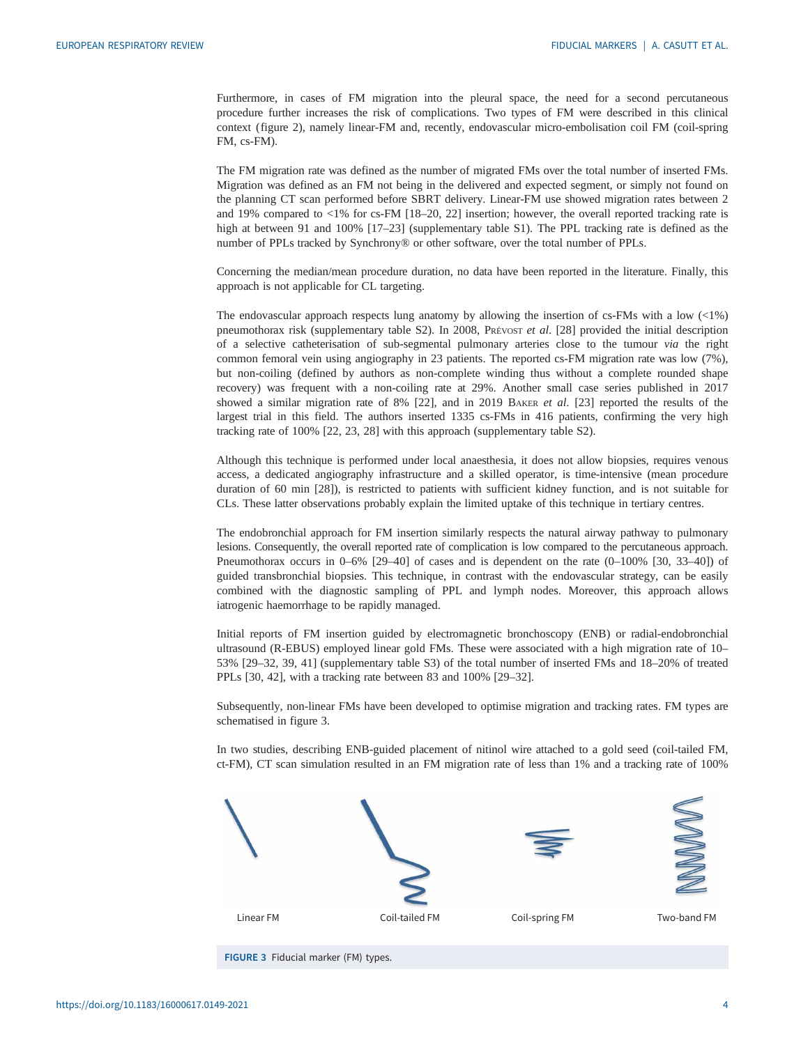Furthermore, in cases of FM migration into the pleural space, the need for a second percutaneous procedure further increases the risk of complications. Two types of FM were described in this clinical context [\(figure 2\)](#page-2-0), namely linear-FM and, recently, endovascular micro-embolisation coil FM (coil-spring FM, cs-FM).

The FM migration rate was defined as the number of migrated FMs over the total number of inserted FMs. Migration was defined as an FM not being in the delivered and expected segment, or simply not found on the planning CT scan performed before SBRT delivery. Linear-FM use showed migration rates between 2 and 19% compared to <1% for cs-FM [[18](#page-6-0)–[20, 22](#page-6-0)] insertion; however, the overall reported tracking rate is high at between 91 and 100% [[17](#page-6-0)-[23](#page-6-0)] ([supplementary table S1](http://err.ersjournals.com/lookup/doi/10.1183/16000617.0149-2021.figures-only#fig-data-supplementary-materials)). The PPL tracking rate is defined as the number of PPLs tracked by Synchrony® or other software, over the total number of PPLs.

Concerning the median/mean procedure duration, no data have been reported in the literature. Finally, this approach is not applicable for CL targeting.

The endovascular approach respects lung anatomy by allowing the insertion of cs-FMs with a low (<1%) pneumothorax risk ([supplementary table S2\)](http://err.ersjournals.com/lookup/doi/10.1183/16000617.0149-2021.figures-only#fig-data-supplementary-materials). In 2008, PRÉVOST et al. [[28\]](#page-6-0) provided the initial description of a selective catheterisation of sub-segmental pulmonary arteries close to the tumour via the right common femoral vein using angiography in 23 patients. The reported cs-FM migration rate was low (7%), but non-coiling (defined by authors as non-complete winding thus without a complete rounded shape recovery) was frequent with a non-coiling rate at 29%. Another small case series published in 2017 showed a similar migration rate of 8%  $[22]$  $[22]$ , and in 2019 BAKER et al.  $[23]$  $[23]$  reported the results of the largest trial in this field. The authors inserted 1335 cs-FMs in 416 patients, confirming the very high tracking rate of 100% [\[22](#page-6-0), [23](#page-6-0), [28\]](#page-6-0) with this approach ([supplementary table S2](http://err.ersjournals.com/lookup/doi/10.1183/16000617.0149-2021.figures-only#fig-data-supplementary-materials)).

Although this technique is performed under local anaesthesia, it does not allow biopsies, requires venous access, a dedicated angiography infrastructure and a skilled operator, is time-intensive (mean procedure duration of 60 min [[28\]](#page-6-0)), is restricted to patients with sufficient kidney function, and is not suitable for CLs. These latter observations probably explain the limited uptake of this technique in tertiary centres.

The endobronchial approach for FM insertion similarly respects the natural airway pathway to pulmonary lesions. Consequently, the overall reported rate of complication is low compared to the percutaneous approach. Pneumothorax occurs in 0–6% [\[29](#page-6-0)–[40\]](#page-7-0) of cases and is dependent on the rate (0–100% [\[30](#page-6-0), 33–40]) of guided transbronchial biopsies. This technique, in contrast with the endovascular strategy, can be easily combined with the diagnostic sampling of PPL and lymph nodes. Moreover, this approach allows iatrogenic haemorrhage to be rapidly managed.

Initial reports of FM insertion guided by electromagnetic bronchoscopy (ENB) or radial-endobronchial ultrasound (R-EBUS) employed linear gold FMs. These were associated with a high migration rate of 10– 53% [[29](#page-6-0)–[32](#page-6-0), [39](#page-7-0), [41](#page-7-0)] [\(supplementary table S3](http://err.ersjournals.com/lookup/doi/10.1183/16000617.0149-2021.figures-only#fig-data-supplementary-materials)) of the total number of inserted FMs and 18–20% of treated PPLs [[30,](#page-6-0) [42\]](#page-7-0), with a tracking rate between 83 and 100% [[29](#page-6-0)–[32](#page-6-0)].

Subsequently, non-linear FMs have been developed to optimise migration and tracking rates. FM types are schematised in figure 3.

In two studies, describing ENB-guided placement of nitinol wire attached to a gold seed (coil-tailed FM, ct-FM), CT scan simulation resulted in an FM migration rate of less than 1% and a tracking rate of 100%



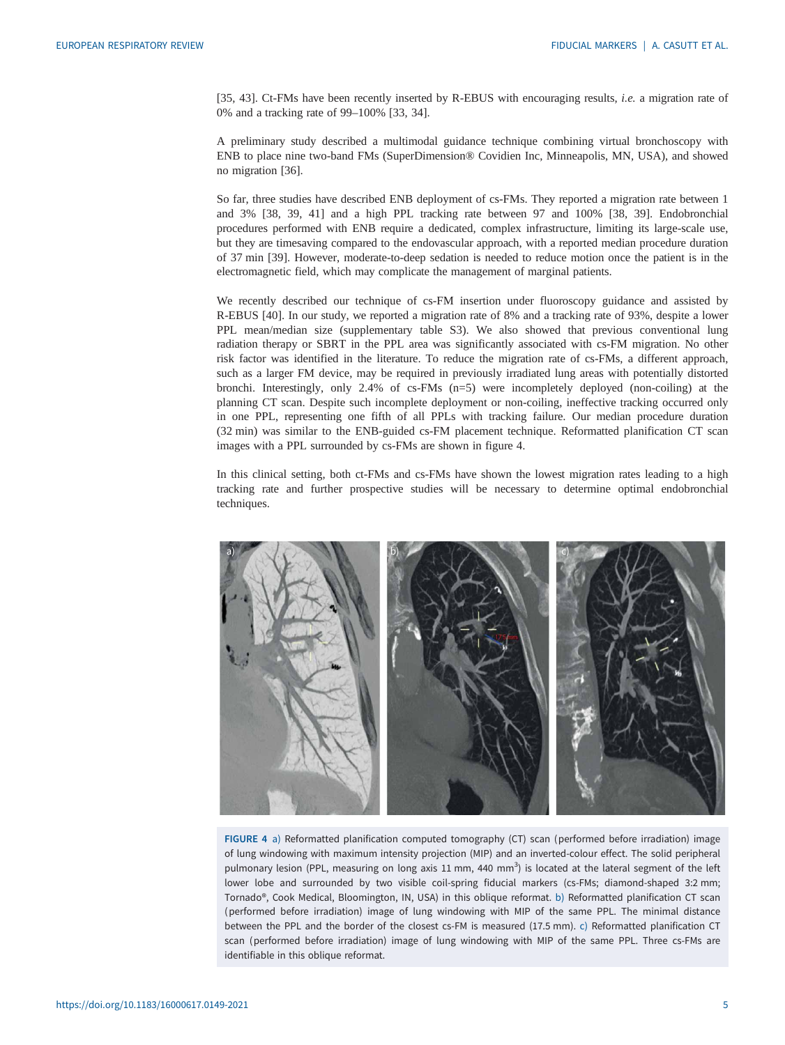[\[35](#page-7-0), [43\]](#page-7-0). Ct-FMs have been recently inserted by R-EBUS with encouraging results, *i.e.* a migration rate of 0% and a tracking rate of 99–100% [\[33](#page-6-0), [34](#page-6-0)].

A preliminary study described a multimodal guidance technique combining virtual bronchoscopy with ENB to place nine two-band FMs (SuperDimension® Covidien Inc, Minneapolis, MN, USA), and showed no migration [\[36](#page-7-0)].

So far, three studies have described ENB deployment of cs-FMs. They reported a migration rate between 1 and 3% [\[38](#page-7-0), [39](#page-7-0), [41](#page-7-0)] and a high PPL tracking rate between 97 and 100% [\[38](#page-7-0), [39](#page-7-0)]. Endobronchial procedures performed with ENB require a dedicated, complex infrastructure, limiting its large-scale use, but they are timesaving compared to the endovascular approach, with a reported median procedure duration of 37 min [\[39](#page-7-0)]. However, moderate-to-deep sedation is needed to reduce motion once the patient is in the electromagnetic field, which may complicate the management of marginal patients.

We recently described our technique of cs-FM insertion under fluoroscopy guidance and assisted by R-EBUS [[40\]](#page-7-0). In our study, we reported a migration rate of 8% and a tracking rate of 93%, despite a lower PPL mean/median size ([supplementary table S3\)](http://err.ersjournals.com/lookup/doi/10.1183/16000617.0149-2021.figures-only#fig-data-supplementary-materials). We also showed that previous conventional lung radiation therapy or SBRT in the PPL area was significantly associated with cs-FM migration. No other risk factor was identified in the literature. To reduce the migration rate of cs-FMs, a different approach, such as a larger FM device, may be required in previously irradiated lung areas with potentially distorted bronchi. Interestingly, only 2.4% of cs-FMs (n=5) were incompletely deployed (non-coiling) at the planning CT scan. Despite such incomplete deployment or non-coiling, ineffective tracking occurred only in one PPL, representing one fifth of all PPLs with tracking failure. Our median procedure duration (32 min) was similar to the ENB-guided cs-FM placement technique. Reformatted planification CT scan images with a PPL surrounded by cs-FMs are shown in figure 4.

In this clinical setting, both ct-FMs and cs-FMs have shown the lowest migration rates leading to a high tracking rate and further prospective studies will be necessary to determine optimal endobronchial techniques.



FIGURE 4 a) Reformatted planification computed tomography (CT) scan (performed before irradiation) image of lung windowing with maximum intensity projection (MIP) and an inverted-colour effect. The solid peripheral pulmonary lesion (PPL, measuring on long axis 11 mm, 440 mm<sup>3</sup>) is located at the lateral segment of the left lower lobe and surrounded by two visible coil-spring fiducial markers (cs-FMs; diamond-shaped 3:2 mm; Tornado®, Cook Medical, Bloomington, IN, USA) in this oblique reformat. b) Reformatted planification CT scan (performed before irradiation) image of lung windowing with MIP of the same PPL. The minimal distance between the PPL and the border of the closest cs-FM is measured (17.5 mm). c) Reformatted planification CT scan (performed before irradiation) image of lung windowing with MIP of the same PPL. Three cs-FMs are identifiable in this oblique reformat.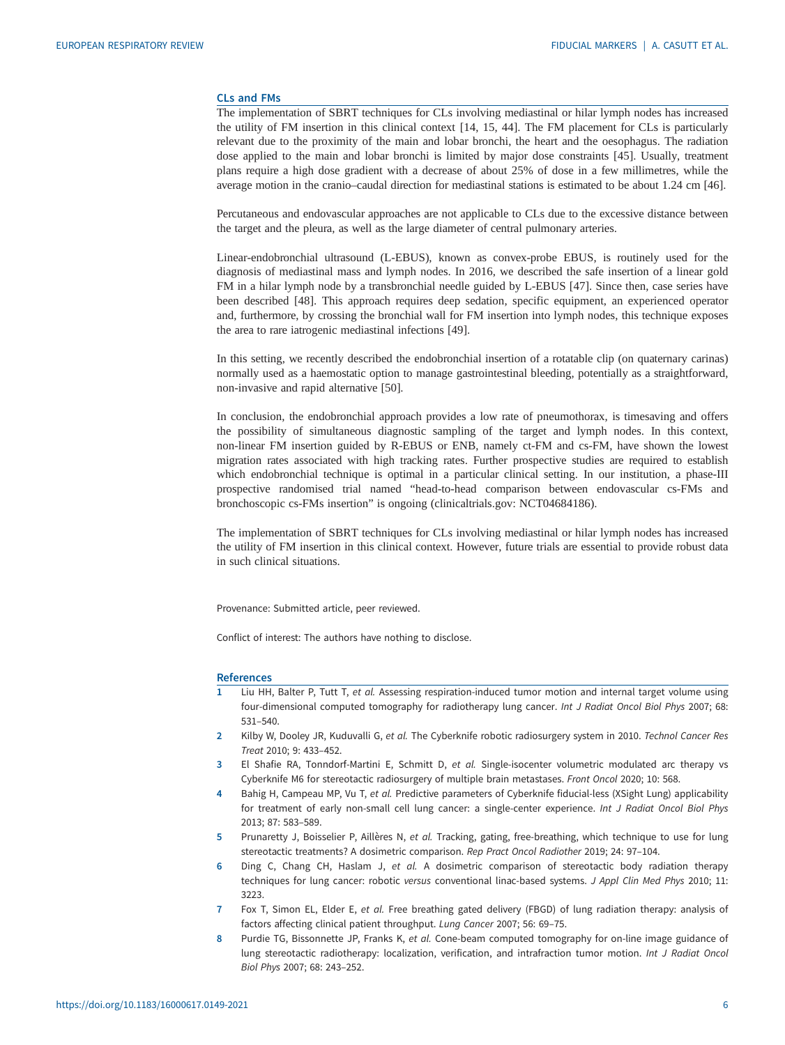#### <span id="page-5-0"></span>CLs and FMs

The implementation of SBRT techniques for CLs involving mediastinal or hilar lymph nodes has increased the utility of FM insertion in this clinical context [\[14](#page-6-0), [15](#page-6-0), [44\]](#page-7-0). The FM placement for CLs is particularly relevant due to the proximity of the main and lobar bronchi, the heart and the oesophagus. The radiation dose applied to the main and lobar bronchi is limited by major dose constraints [[45\]](#page-7-0). Usually, treatment plans require a high dose gradient with a decrease of about 25% of dose in a few millimetres, while the average motion in the cranio–caudal direction for mediastinal stations is estimated to be about 1.24 cm [\[46](#page-7-0)].

Percutaneous and endovascular approaches are not applicable to CLs due to the excessive distance between the target and the pleura, as well as the large diameter of central pulmonary arteries.

Linear-endobronchial ultrasound (L-EBUS), known as convex-probe EBUS, is routinely used for the diagnosis of mediastinal mass and lymph nodes. In 2016, we described the safe insertion of a linear gold FM in a hilar lymph node by a transbronchial needle guided by L-EBUS [\[47](#page-7-0)]. Since then, case series have been described [\[48](#page-7-0)]. This approach requires deep sedation, specific equipment, an experienced operator and, furthermore, by crossing the bronchial wall for FM insertion into lymph nodes, this technique exposes the area to rare iatrogenic mediastinal infections [[49\]](#page-7-0).

In this setting, we recently described the endobronchial insertion of a rotatable clip (on quaternary carinas) normally used as a haemostatic option to manage gastrointestinal bleeding, potentially as a straightforward, non-invasive and rapid alternative [\[50](#page-7-0)].

In conclusion, the endobronchial approach provides a low rate of pneumothorax, is timesaving and offers the possibility of simultaneous diagnostic sampling of the target and lymph nodes. In this context, non-linear FM insertion guided by R-EBUS or ENB, namely ct-FM and cs-FM, have shown the lowest migration rates associated with high tracking rates. Further prospective studies are required to establish which endobronchial technique is optimal in a particular clinical setting. In our institution, a phase-III prospective randomised trial named "head-to-head comparison between endovascular cs-FMs and bronchoscopic cs-FMs insertion" is ongoing ([clinicaltrials.gov](https://clinicaltrials.gov/): NCT04684186).

The implementation of SBRT techniques for CLs involving mediastinal or hilar lymph nodes has increased the utility of FM insertion in this clinical context. However, future trials are essential to provide robust data in such clinical situations.

Provenance: Submitted article, peer reviewed.

Conflict of interest: The authors have nothing to disclose.

#### References

- 1 Liu HH, Balter P, Tutt T, et al. Assessing respiration-induced tumor motion and internal target volume using four-dimensional computed tomography for radiotherapy lung cancer. Int J Radiat Oncol Biol Phys 2007; 68: 531–540.
- 2 Kilby W, Dooley JR, Kuduvalli G, et al. The Cyberknife robotic radiosurgery system in 2010. Technol Cancer Res Treat 2010; 9: 433–452.
- 3 El Shafie RA, Tonndorf-Martini E, Schmitt D, et al. Single-isocenter volumetric modulated arc therapy vs Cyberknife M6 for stereotactic radiosurgery of multiple brain metastases. Front Oncol 2020; 10: 568.
- 4 Bahig H, Campeau MP, Vu T, et al. Predictive parameters of Cyberknife fiducial-less (XSight Lung) applicability for treatment of early non-small cell lung cancer: a single-center experience. Int J Radiat Oncol Biol Phys 2013; 87: 583–589.
- 5 Prunaretty J, Boisselier P, Aillères N, et al. Tracking, gating, free-breathing, which technique to use for lung stereotactic treatments? A dosimetric comparison. Rep Pract Oncol Radiother 2019; 24: 97–104.
- 6 Ding C, Chang CH, Haslam J, et al. A dosimetric comparison of stereotactic body radiation therapy techniques for lung cancer: robotic versus conventional linac-based systems. J Appl Clin Med Phys 2010; 11: 3223.
- 7 Fox T, Simon EL, Elder E, et al. Free breathing gated delivery (FBGD) of lung radiation therapy: analysis of factors affecting clinical patient throughput. Lung Cancer 2007; 56: 69–75.
- 8 Purdie TG, Bissonnette JP, Franks K, et al. Cone-beam computed tomography for on-line image guidance of lung stereotactic radiotherapy: localization, verification, and intrafraction tumor motion. Int J Radiat Oncol Biol Phys 2007; 68: 243–252.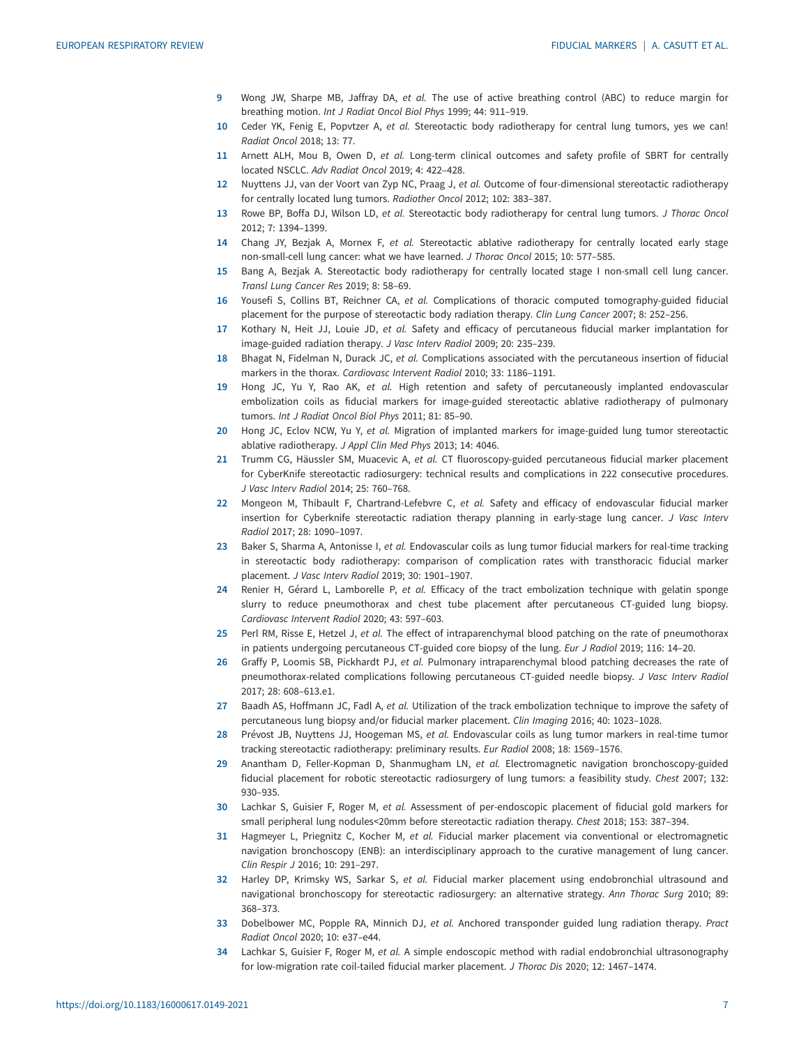- <span id="page-6-0"></span>9 Wong JW, Sharpe MB, Jaffray DA, et al. The use of active breathing control (ABC) to reduce margin for breathing motion. Int J Radiat Oncol Biol Phys 1999; 44: 911–919.
- 10 Ceder YK, Fenig E, Popvtzer A, et al. Stereotactic body radiotherapy for central lung tumors, yes we can! Radiat Oncol 2018; 13: 77.
- 11 Arnett ALH, Mou B, Owen D, et al. Long-term clinical outcomes and safety profile of SBRT for centrally located NSCLC. Adv Radiat Oncol 2019; 4: 422–428.
- 12 Nuyttens JJ, van der Voort van Zyp NC, Praag J, et al. Outcome of four-dimensional stereotactic radiotherapy for centrally located lung tumors. Radiother Oncol 2012; 102: 383–387.
- 13 Rowe BP, Boffa DJ, Wilson LD, et al. Stereotactic body radiotherapy for central lung tumors. J Thorac Oncol 2012; 7: 1394–1399.
- 14 Chang JY, Bezjak A, Mornex F, et al. Stereotactic ablative radiotherapy for centrally located early stage non-small-cell lung cancer: what we have learned. J Thorac Oncol 2015; 10: 577–585.
- 15 Bang A, Bezjak A. Stereotactic body radiotherapy for centrally located stage I non-small cell lung cancer. Transl Lung Cancer Res 2019; 8: 58–69.
- 16 Yousefi S, Collins BT, Reichner CA, et al. Complications of thoracic computed tomography-guided fiducial placement for the purpose of stereotactic body radiation therapy. Clin Lung Cancer 2007; 8: 252–256.
- 17 Kothary N, Heit JJ, Louie JD, et al. Safety and efficacy of percutaneous fiducial marker implantation for image-guided radiation therapy. J Vasc Interv Radiol 2009; 20: 235–239.
- 18 Bhagat N, Fidelman N, Durack JC, et al. Complications associated with the percutaneous insertion of fiducial markers in the thorax. Cardiovasc Intervent Radiol 2010; 33: 1186–1191.
- 19 Hong JC, Yu Y, Rao AK, et al. High retention and safety of percutaneously implanted endovascular embolization coils as fiducial markers for image-guided stereotactic ablative radiotherapy of pulmonary tumors. Int J Radiat Oncol Biol Phys 2011; 81: 85–90.
- 20 Hong JC, Eclov NCW, Yu Y, et al. Migration of implanted markers for image-guided lung tumor stereotactic ablative radiotherapy. J Appl Clin Med Phys 2013; 14: 4046.
- 21 Trumm CG, Häussler SM, Muacevic A, et al. CT fluoroscopy-guided percutaneous fiducial marker placement for CyberKnife stereotactic radiosurgery: technical results and complications in 222 consecutive procedures. J Vasc Interv Radiol 2014; 25: 760–768.
- 22 Mongeon M, Thibault F, Chartrand-Lefebvre C, et al. Safety and efficacy of endovascular fiducial marker insertion for Cyberknife stereotactic radiation therapy planning in early-stage lung cancer. J Vasc Interv Radiol 2017; 28: 1090–1097.
- 23 Baker S, Sharma A, Antonisse I, et al. Endovascular coils as lung tumor fiducial markers for real-time tracking in stereotactic body radiotherapy: comparison of complication rates with transthoracic fiducial marker placement. J Vasc Interv Radiol 2019; 30: 1901–1907.
- 24 Renier H, Gérard L, Lamborelle P, et al. Efficacy of the tract embolization technique with gelatin sponge slurry to reduce pneumothorax and chest tube placement after percutaneous CT-guided lung biopsy. Cardiovasc Intervent Radiol 2020; 43: 597–603.
- 25 Perl RM, Risse E, Hetzel J, et al. The effect of intraparenchymal blood patching on the rate of pneumothorax in patients undergoing percutaneous CT-guided core biopsy of the lung. Eur J Radiol 2019; 116: 14–20.
- 26 Graffy P, Loomis SB, Pickhardt PJ, et al. Pulmonary intraparenchymal blood patching decreases the rate of pneumothorax-related complications following percutaneous CT-guided needle biopsy. J Vasc Interv Radiol 2017; 28: 608–613.e1.
- 27 Baadh AS, Hoffmann JC, Fadl A, et al. Utilization of the track embolization technique to improve the safety of percutaneous lung biopsy and/or fiducial marker placement. Clin Imaging 2016; 40: 1023–1028.
- 28 Prévost JB, Nuyttens JJ, Hoogeman MS, et al. Endovascular coils as lung tumor markers in real-time tumor tracking stereotactic radiotherapy: preliminary results. Eur Radiol 2008; 18: 1569–1576.
- 29 Anantham D, Feller-Kopman D, Shanmugham LN, et al. Electromagnetic navigation bronchoscopy-guided fiducial placement for robotic stereotactic radiosurgery of lung tumors: a feasibility study. Chest 2007; 132: 930–935.
- 30 Lachkar S, Guisier F, Roger M, et al. Assessment of per-endoscopic placement of fiducial gold markers for small peripheral lung nodules<20mm before stereotactic radiation therapy. Chest 2018; 153: 387–394.
- 31 Hagmeyer L, Priegnitz C, Kocher M, et al. Fiducial marker placement via conventional or electromagnetic navigation bronchoscopy (ENB): an interdisciplinary approach to the curative management of lung cancer. Clin Respir J 2016; 10: 291–297.
- 32 Harley DP, Krimsky WS, Sarkar S, et al. Fiducial marker placement using endobronchial ultrasound and navigational bronchoscopy for stereotactic radiosurgery: an alternative strategy. Ann Thorac Surg 2010; 89: 368–373.
- 33 Dobelbower MC, Popple RA, Minnich DJ, et al. Anchored transponder guided lung radiation therapy. Pract Radiat Oncol 2020; 10: e37–e44.
- 34 Lachkar S, Guisier F, Roger M, et al. A simple endoscopic method with radial endobronchial ultrasonography for low-migration rate coil-tailed fiducial marker placement. J Thorac Dis 2020; 12: 1467–1474.